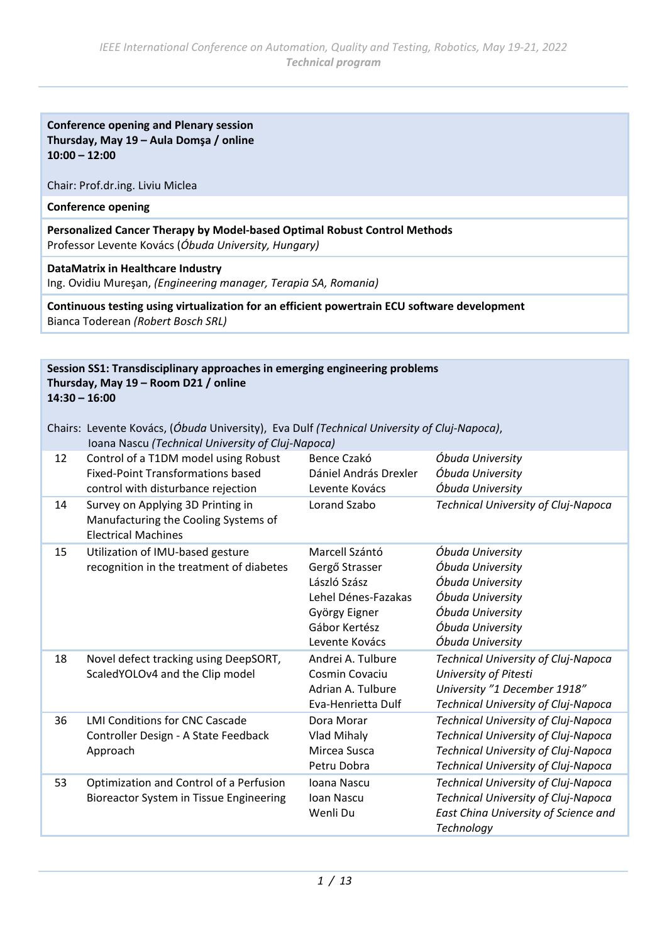## **Conference opening and Plenary session Thursday, May 19 – Aula Domşa / online 10:00 – 12:00**

#### Chair: Prof.dr.ing. Liviu Miclea

## **Conference opening**

**Personalized Cancer Therapy by Model-based Optimal Robust Control Methods** Professor Levente Kovács (*Óbuda University, Hungary)*

#### **DataMatrix in Healthcare Industry**

Ing. Ovidiu Mureşan, *(Engineering manager, Terapia SA, Romania)*

**Continuous testing using virtualization for an efficient powertrain ECU software development** Bianca Toderean *(Robert Bosch SRL)*

#### **Session SS1: Transdisciplinary approaches in emerging engineering problems Thursday, May 19 – Room D21 / online 14:30 – 16:00**

|    | Chairs: Levente Kovács, (Óbuda University), Eva Dulf (Technical University of Cluj-Napoca),<br>Ioana Nascu (Technical University of Cluj-Napoca) |                                                                                                                             |                                                                                                                                                                        |
|----|--------------------------------------------------------------------------------------------------------------------------------------------------|-----------------------------------------------------------------------------------------------------------------------------|------------------------------------------------------------------------------------------------------------------------------------------------------------------------|
| 12 | Control of a T1DM model using Robust<br><b>Fixed-Point Transformations based</b><br>control with disturbance rejection                           | Bence Czakó<br>Dániel András Drexler<br>Levente Kovács                                                                      | Óbuda University<br>Óbuda University<br>Óbuda University                                                                                                               |
| 14 | Survey on Applying 3D Printing in<br>Manufacturing the Cooling Systems of<br><b>Electrical Machines</b>                                          | Lorand Szabo                                                                                                                | Technical University of Cluj-Napoca                                                                                                                                    |
| 15 | Utilization of IMU-based gesture<br>recognition in the treatment of diabetes                                                                     | Marcell Szántó<br>Gergő Strasser<br>László Szász<br>Lehel Dénes-Fazakas<br>György Eigner<br>Gábor Kertész<br>Levente Kovács | Óbuda University<br>Óbuda University<br>Óbuda University<br>Óbuda University<br>Óbuda University<br>Óbuda University<br>Óbuda University                               |
| 18 | Novel defect tracking using DeepSORT,<br>ScaledYOLOv4 and the Clip model                                                                         | Andrei A. Tulbure<br>Cosmin Covaciu<br>Adrian A. Tulbure<br>Eva-Henrietta Dulf                                              | <b>Technical University of Cluj-Napoca</b><br>University of Pitesti<br>University "1 December 1918"<br>Technical University of Cluj-Napoca                             |
| 36 | <b>LMI Conditions for CNC Cascade</b><br>Controller Design - A State Feedback<br>Approach                                                        | Dora Morar<br>Vlad Mihaly<br>Mircea Susca<br>Petru Dobra                                                                    | <b>Technical University of Cluj-Napoca</b><br><b>Technical University of Cluj-Napoca</b><br>Technical University of Cluj-Napoca<br>Technical University of Cluj-Napoca |
| 53 | Optimization and Control of a Perfusion<br>Bioreactor System in Tissue Engineering                                                               | Ioana Nascu<br>Ioan Nascu<br>Wenli Du                                                                                       | <b>Technical University of Cluj-Napoca</b><br>Technical University of Cluj-Napoca<br>East China University of Science and<br>Technology                                |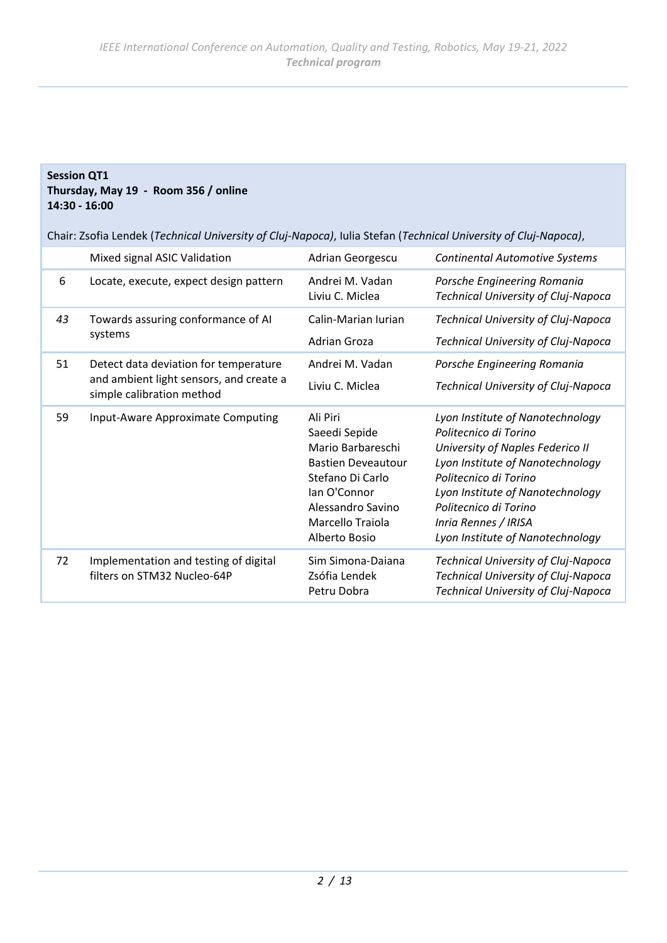#### **Session QT1 Thursday, May 19 - Room 356 / online 14:30 - 16:00**

Chair: Zsofia Lendek (*Technical University of Cluj-Napoca)*, Iulia Stefan (*Technical University of Cluj-Napoca)*,

|    | Mixed signal ASIC Validation                                                                                  | Adrian Georgescu                                                                                                                                                          | <b>Continental Automotive Systems</b>                                                                                                                                                                                                                                               |
|----|---------------------------------------------------------------------------------------------------------------|---------------------------------------------------------------------------------------------------------------------------------------------------------------------------|-------------------------------------------------------------------------------------------------------------------------------------------------------------------------------------------------------------------------------------------------------------------------------------|
| 6  | Locate, execute, expect design pattern                                                                        | Andrei M. Vadan<br>Liviu C. Miclea                                                                                                                                        | Porsche Engineering Romania<br><b>Technical University of Cluj-Napoca</b>                                                                                                                                                                                                           |
| 43 | Towards assuring conformance of AI<br>systems                                                                 | Calin-Marian Iurian<br>Adrian Groza                                                                                                                                       | Technical University of Cluj-Napoca<br>Technical University of Cluj-Napoca                                                                                                                                                                                                          |
| 51 | Detect data deviation for temperature<br>and ambient light sensors, and create a<br>simple calibration method | Andrei M. Vadan<br>Liviu C. Miclea                                                                                                                                        | Porsche Engineering Romania<br>Technical University of Cluj-Napoca                                                                                                                                                                                                                  |
| 59 | Input-Aware Approximate Computing                                                                             | Ali Piri<br>Saeedi Sepide<br>Mario Barbareschi<br><b>Bastien Deveautour</b><br>Stefano Di Carlo<br>lan O'Connor<br>Alessandro Savino<br>Marcello Traiola<br>Alberto Bosio | Lyon Institute of Nanotechnology<br>Politecnico di Torino<br>University of Naples Federico II<br>Lyon Institute of Nanotechnology<br>Politecnico di Torino<br>Lyon Institute of Nanotechnology<br>Politecnico di Torino<br>Inria Rennes / IRISA<br>Lyon Institute of Nanotechnology |
| 72 | Implementation and testing of digital<br>filters on STM32 Nucleo-64P                                          | Sim Simona-Daiana<br>Zsófia Lendek<br>Petru Dobra                                                                                                                         | Technical University of Cluj-Napoca<br>Technical University of Cluj-Napoca<br><b>Technical University of Cluj-Napoca</b>                                                                                                                                                            |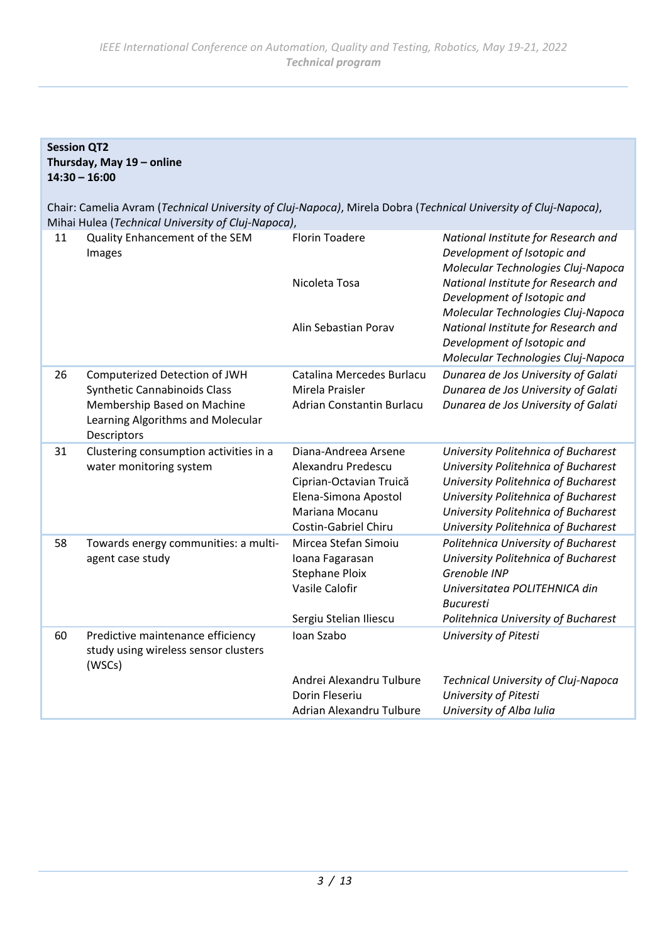## **Session QT2 Thursday, May 19 – online 14:30 – 16:00**

Chair: Camelia Avram (*Technical University of Cluj-Napoca)*, Mirela Dobra (*Technical University of Cluj-Napoca)*, Mihai Hulea (*Technical University of Cluj-Napoca)*,

| 11 | Quality Enhancement of the SEM<br>Images                                                                                                                | <b>Florin Toadere</b><br>Nicoleta Tosa<br>Alin Sebastian Porav                                                                                 | National Institute for Research and<br>Development of Isotopic and<br>Molecular Technologies Cluj-Napoca<br>National Institute for Research and<br>Development of Isotopic and<br>Molecular Technologies Cluj-Napoca<br>National Institute for Research and<br>Development of Isotopic and |
|----|---------------------------------------------------------------------------------------------------------------------------------------------------------|------------------------------------------------------------------------------------------------------------------------------------------------|--------------------------------------------------------------------------------------------------------------------------------------------------------------------------------------------------------------------------------------------------------------------------------------------|
| 26 | Computerized Detection of JWH<br><b>Synthetic Cannabinoids Class</b><br>Membership Based on Machine<br>Learning Algorithms and Molecular<br>Descriptors | Catalina Mercedes Burlacu<br>Mirela Praisler<br>Adrian Constantin Burlacu                                                                      | Molecular Technologies Cluj-Napoca<br>Dunarea de Jos University of Galati<br>Dunarea de Jos University of Galati<br>Dunarea de Jos University of Galati                                                                                                                                    |
| 31 | Clustering consumption activities in a<br>water monitoring system                                                                                       | Diana-Andreea Arsene<br>Alexandru Predescu<br>Ciprian-Octavian Truică<br>Elena-Simona Apostol<br>Mariana Mocanu<br><b>Costin-Gabriel Chiru</b> | University Politehnica of Bucharest<br>University Politehnica of Bucharest<br>University Politehnica of Bucharest<br>University Politehnica of Bucharest<br>University Politehnica of Bucharest<br>University Politehnica of Bucharest                                                     |
| 58 | Towards energy communities: a multi-<br>agent case study                                                                                                | Mircea Stefan Simoiu<br>Ioana Fagarasan<br><b>Stephane Ploix</b><br>Vasile Calofir<br>Sergiu Stelian Iliescu                                   | Politehnica University of Bucharest<br>University Politehnica of Bucharest<br>Grenoble INP<br>Universitatea POLITEHNICA din<br><b>Bucuresti</b><br>Politehnica University of Bucharest                                                                                                     |
| 60 | Predictive maintenance efficiency<br>study using wireless sensor clusters<br>(WSCs)                                                                     | Ioan Szabo<br>Andrei Alexandru Tulbure<br>Dorin Fleseriu<br>Adrian Alexandru Tulbure                                                           | University of Pitesti<br>Technical University of Cluj-Napoca<br>University of Pitesti<br>University of Alba Iulia                                                                                                                                                                          |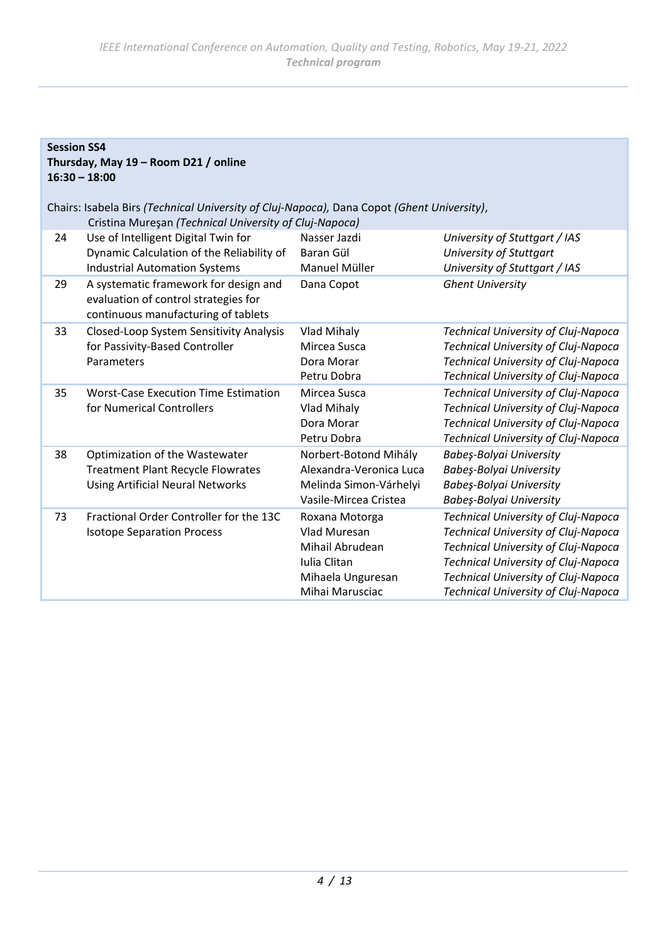## **Session SS4 Thursday, May 19 – Room D21 / online 16:30 – 18:00**

Chairs: Isabela Birs *(Technical University of Cluj-Napoca),* Dana Copot *(Ghent University)*, Cristina Mureşan *(Technical University of Cluj-Napoca)* 24 Use of Intelligent Digital Twin for Dynamic Calculation of the Reliability of Industrial Automation Systems Nasser Jazdi *University of Stuttgart / IAS* Baran Gül *University of Stuttgart* Manuel Müller *University of Stuttgart / IAS* 29 A systematic framework for design and evaluation of control strategies for continuous manufacturing of tablets Dana Copot *Ghent University* 33 Closed-Loop System Sensitivity Analysis for Passivity-Based Controller Parameters Vlad Mihaly *Technical University of Cluj-Napoca* Mircea Susca *Technical University of Cluj-Napoca* Dora Morar *Technical University of Cluj-Napoca* Petru Dobra *Technical University of Cluj-Napoca* 35 Worst-Case Execution Time Estimation for Numerical Controllers Mircea Susca *Technical University of Cluj-Napoca* Vlad Mihaly *Technical University of Cluj-Napoca* Dora Morar *Technical University of Cluj-Napoca* Petru Dobra *Technical University of Cluj-Napoca* 38 Optimization of the Wastewater Treatment Plant Recycle Flowrates Using Artificial Neural Networks Norbert-Botond Mihály *Babeş-Bolyai University* Alexandra-Veronica Luca *Babeş-Bolyai University* Melinda Simon-Várhelyi *Babeş-Bolyai University* Vasile-Mircea Cristea *Babeş-Bolyai University* 73 Fractional Order Controller for the 13C Isotope Separation Process Roxana Motorga *Technical University of Cluj-Napoca* Vlad Muresan *Technical University of Cluj-Napoca* Mihail Abrudean *Technical University of Cluj-Napoca* Iulia Clitan *Technical University of Cluj-Napoca* Mihaela Unguresan *Technical University of Cluj-Napoca* Mihai Marusciac *Technical University of Cluj-Napoca*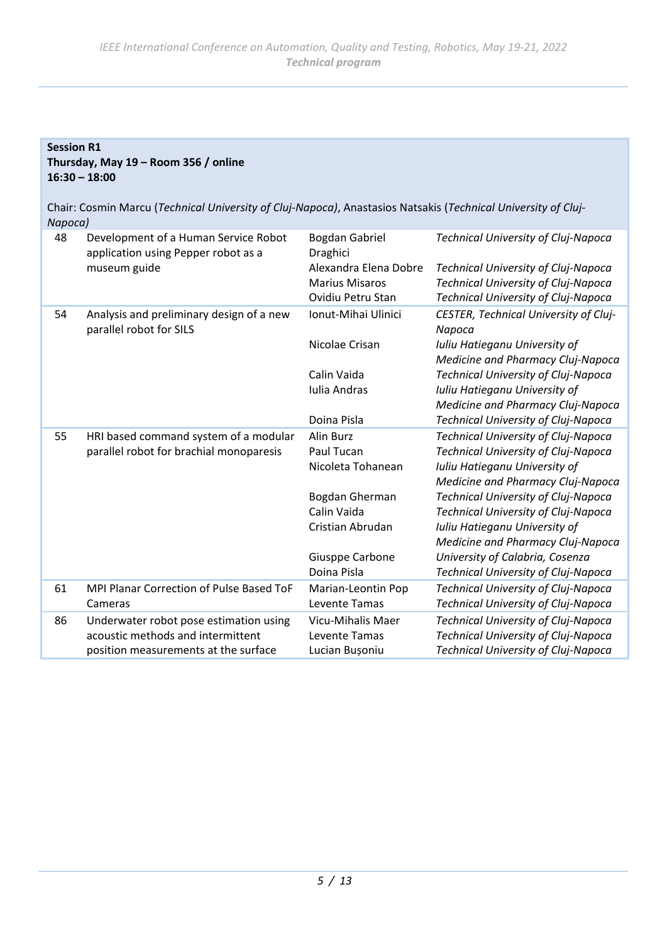# **Session R1 Thursday, May 19 – Room 356 / online 16:30 – 18:00**

Chair: Cosmin Marcu (*Technical University of Cluj-Napoca)*, Anastasios Natsakis (*Technical University of Cluj-Napoca)*

| 48 | Development of a Human Service Robot<br>application using Pepper robot as a | Bogdan Gabriel<br>Draghici | <b>Technical University of Cluj-Napoca</b>                         |
|----|-----------------------------------------------------------------------------|----------------------------|--------------------------------------------------------------------|
|    | museum guide                                                                | Alexandra Elena Dobre      | Technical University of Cluj-Napoca                                |
|    |                                                                             | <b>Marius Misaros</b>      | <b>Technical University of Cluj-Napoca</b>                         |
|    |                                                                             | Ovidiu Petru Stan          | Technical University of Cluj-Napoca                                |
| 54 | Analysis and preliminary design of a new<br>parallel robot for SILS         | Ionut-Mihai Ulinici        | CESTER, Technical University of Cluj-<br>Napoca                    |
|    |                                                                             | Nicolae Crisan             | Iuliu Hatieganu University of<br>Medicine and Pharmacy Cluj-Napoca |
|    |                                                                             | Calin Vaida                | Technical University of Cluj-Napoca                                |
|    |                                                                             | Iulia Andras               | Iuliu Hatieganu University of                                      |
|    |                                                                             |                            | Medicine and Pharmacy Cluj-Napoca                                  |
|    |                                                                             | Doina Pisla                | Technical University of Cluj-Napoca                                |
| 55 | HRI based command system of a modular                                       | Alin Burz                  | Technical University of Cluj-Napoca                                |
|    | parallel robot for brachial monoparesis                                     | Paul Tucan                 | <b>Technical University of Cluj-Napoca</b>                         |
|    |                                                                             | Nicoleta Tohanean          | Iuliu Hatieganu University of                                      |
|    |                                                                             |                            | Medicine and Pharmacy Cluj-Napoca                                  |
|    |                                                                             | Bogdan Gherman             | Technical University of Cluj-Napoca                                |
|    |                                                                             | Calin Vaida                | Technical University of Cluj-Napoca                                |
|    |                                                                             | Cristian Abrudan           | Iuliu Hatieganu University of                                      |
|    |                                                                             |                            | Medicine and Pharmacy Cluj-Napoca                                  |
|    |                                                                             | Giusppe Carbone            | University of Calabria, Cosenza                                    |
|    |                                                                             | Doina Pisla                | Technical University of Cluj-Napoca                                |
| 61 | MPI Planar Correction of Pulse Based ToF                                    | Marian-Leontin Pop         | <b>Technical University of Cluj-Napoca</b>                         |
|    | Cameras                                                                     | Levente Tamas              | Technical University of Cluj-Napoca                                |
| 86 | Underwater robot pose estimation using                                      | Vicu-Mihalis Maer          | <b>Technical University of Cluj-Napoca</b>                         |
|    | acoustic methods and intermittent                                           | Levente Tamas              | <b>Technical University of Cluj-Napoca</b>                         |
|    | position measurements at the surface                                        | Lucian Bușoniu             | Technical University of Cluj-Napoca                                |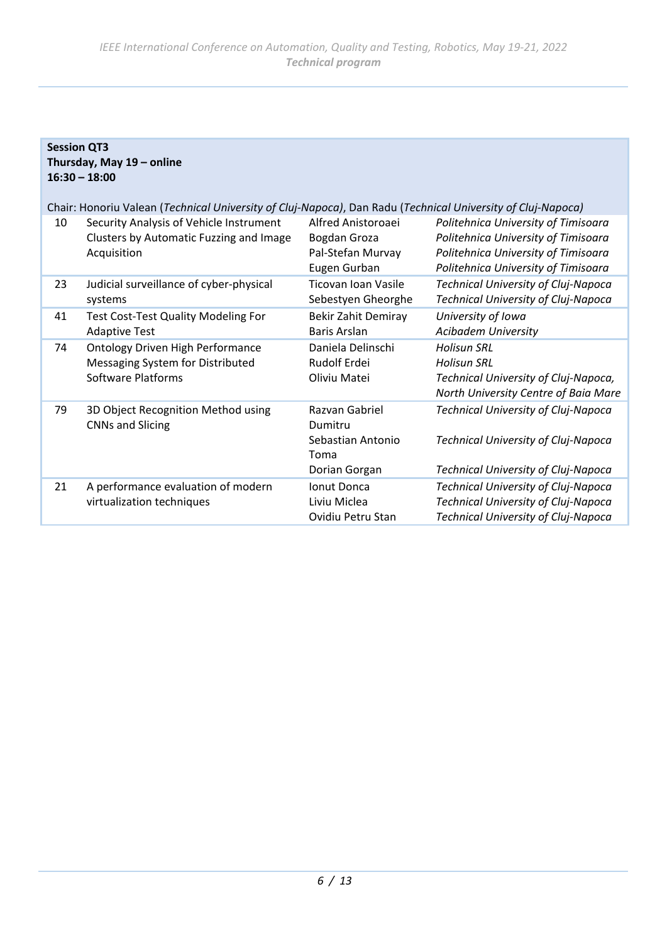**Session QT3**

**Thursday, May 19 – online**

|    | $16:30 - 18:00$                                                                                             |                                                                         |                                                                                                                                                          |
|----|-------------------------------------------------------------------------------------------------------------|-------------------------------------------------------------------------|----------------------------------------------------------------------------------------------------------------------------------------------------------|
|    | Chair: Honoriu Valean (Technical University of Cluj-Napoca), Dan Radu (Technical University of Cluj-Napoca) |                                                                         |                                                                                                                                                          |
| 10 | Security Analysis of Vehicle Instrument<br>Clusters by Automatic Fuzzing and Image<br>Acquisition           | Alfred Anistoroaei<br>Bogdan Groza<br>Pal-Stefan Murvay<br>Eugen Gurban | Politehnica University of Timisoara<br>Politehnica University of Timisoara<br>Politehnica University of Timisoara<br>Politehnica University of Timisoara |
| 23 | Judicial surveillance of cyber-physical<br>systems                                                          | Ticovan Ioan Vasile<br>Sebestyen Gheorghe                               | Technical University of Cluj-Napoca<br>Technical University of Cluj-Napoca                                                                               |
| 41 | <b>Test Cost-Test Quality Modeling For</b><br><b>Adaptive Test</b>                                          | <b>Bekir Zahit Demiray</b><br><b>Baris Arslan</b>                       | University of Iowa<br><b>Acibadem University</b>                                                                                                         |
| 74 | <b>Ontology Driven High Performance</b><br>Messaging System for Distributed<br><b>Software Platforms</b>    | Daniela Delinschi<br>Rudolf Erdei<br>Oliviu Matei                       | <b>Holisun SRL</b><br><b>Holisun SRL</b><br>Technical University of Cluj-Napoca,<br>North University Centre of Baia Mare                                 |
| 79 | 3D Object Recognition Method using<br><b>CNNs and Slicing</b>                                               | Razvan Gabriel<br>Dumitru<br>Sebastian Antonio<br>Toma<br>Dorian Gorgan | Technical University of Cluj-Napoca<br>Technical University of Cluj-Napoca<br>Technical University of Cluj-Napoca                                        |
| 21 | A performance evaluation of modern<br>virtualization techniques                                             | Ionut Donca<br>Liviu Miclea<br>Ovidiu Petru Stan                        | Technical University of Cluj-Napoca<br>Technical University of Cluj-Napoca<br>Technical University of Cluj-Napoca                                        |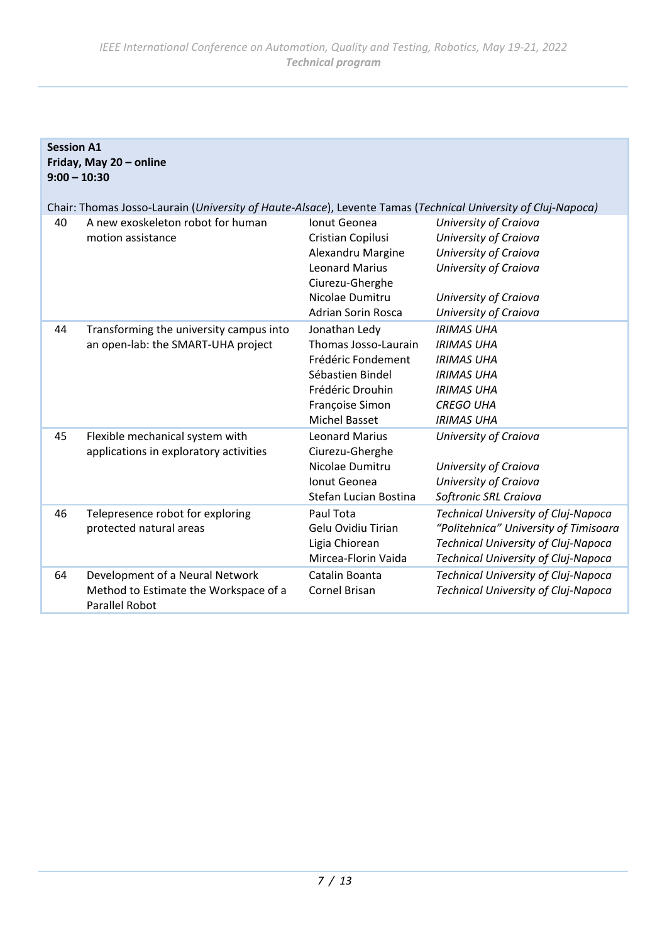| <b>Session A1</b><br>Friday, May 20 - online<br>$9:00 - 10:30$ |                                                                                                                                                                         |                                                                                                                                                    |                                                                                                                                                                   |
|----------------------------------------------------------------|-------------------------------------------------------------------------------------------------------------------------------------------------------------------------|----------------------------------------------------------------------------------------------------------------------------------------------------|-------------------------------------------------------------------------------------------------------------------------------------------------------------------|
| 40                                                             | Chair: Thomas Josso-Laurain (University of Haute-Alsace), Levente Tamas (Technical University of Cluj-Napoca)<br>A new exoskeleton robot for human<br>motion assistance | Ionut Geonea<br>Cristian Copilusi<br>Alexandru Margine<br><b>Leonard Marius</b><br>Ciurezu-Gherghe<br>Nicolae Dumitru<br><b>Adrian Sorin Rosca</b> | University of Craiova<br>University of Craiova<br>University of Craiova<br>University of Craiova<br>University of Craiova<br>University of Craiova                |
| 44                                                             | Transforming the university campus into<br>an open-lab: the SMART-UHA project                                                                                           | Jonathan Ledy<br>Thomas Josso-Laurain<br>Frédéric Fondement<br>Sébastien Bindel<br>Frédéric Drouhin<br>Françoise Simon<br><b>Michel Basset</b>     | <b>IRIMAS UHA</b><br><b>IRIMAS UHA</b><br><b>IRIMAS UHA</b><br><b>IRIMAS UHA</b><br><b>IRIMAS UHA</b><br><b>CREGO UHA</b><br><b>IRIMAS UHA</b>                    |
| 45                                                             | Flexible mechanical system with<br>applications in exploratory activities                                                                                               | <b>Leonard Marius</b><br>Ciurezu-Gherghe<br>Nicolae Dumitru<br>Ionut Geonea<br>Stefan Lucian Bostina                                               | University of Craiova<br>University of Craiova<br>University of Craiova<br>Softronic SRL Craiova                                                                  |
| 46                                                             | Telepresence robot for exploring<br>protected natural areas                                                                                                             | Paul Tota<br>Gelu Ovidiu Tirian<br>Ligia Chiorean<br>Mircea-Florin Vaida                                                                           | <b>Technical University of Cluj-Napoca</b><br>"Politehnica" University of Timisoara<br>Technical University of Cluj-Napoca<br>Technical University of Cluj-Napoca |
| 64                                                             | Development of a Neural Network<br>Method to Estimate the Workspace of a<br><b>Parallel Robot</b>                                                                       | Catalin Boanta<br>Cornel Brisan                                                                                                                    | Technical University of Cluj-Napoca<br>Technical University of Cluj-Napoca                                                                                        |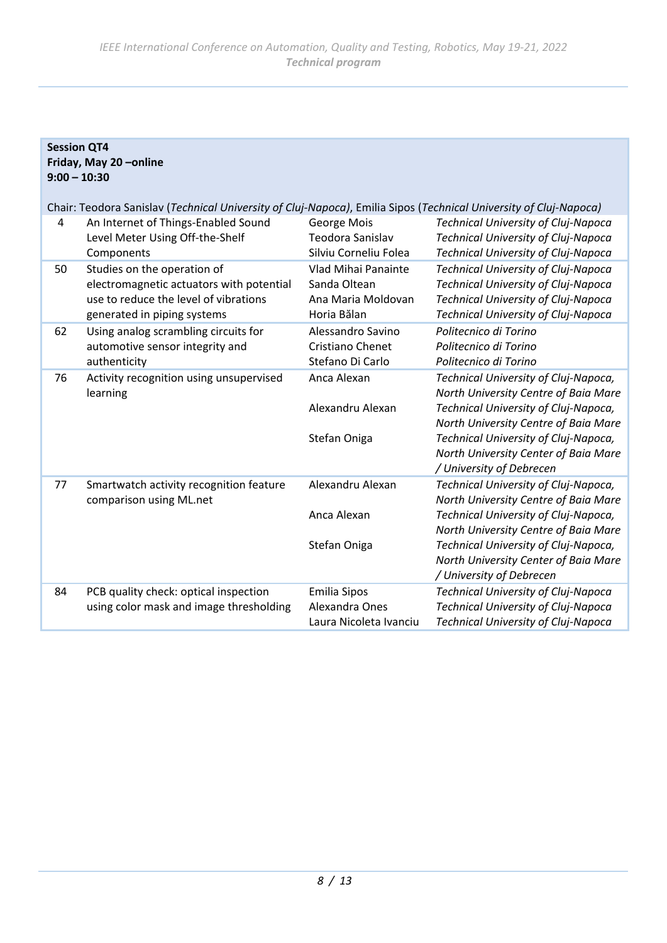**Session QT4**

| Friday, May 20-online<br>$9:00 - 10:30$ |                                                                                                                                                 |                                                                          |                                                                                                                                                                                                                                                                          |
|-----------------------------------------|-------------------------------------------------------------------------------------------------------------------------------------------------|--------------------------------------------------------------------------|--------------------------------------------------------------------------------------------------------------------------------------------------------------------------------------------------------------------------------------------------------------------------|
|                                         | Chair: Teodora Sanislav (Technical University of Cluj-Napoca), Emilia Sipos (Technical University of Cluj-Napoca)                               |                                                                          |                                                                                                                                                                                                                                                                          |
| 4                                       | An Internet of Things-Enabled Sound<br>Level Meter Using Off-the-Shelf<br>Components                                                            | George Mois<br>Teodora Sanislav<br>Silviu Corneliu Folea                 | <b>Technical University of Cluj-Napoca</b><br>Technical University of Cluj-Napoca<br>Technical University of Cluj-Napoca                                                                                                                                                 |
| 50                                      | Studies on the operation of<br>electromagnetic actuators with potential<br>use to reduce the level of vibrations<br>generated in piping systems | Vlad Mihai Panainte<br>Sanda Oltean<br>Ana Maria Moldovan<br>Horia Bălan | <b>Technical University of Cluj-Napoca</b><br>Technical University of Cluj-Napoca<br><b>Technical University of Cluj-Napoca</b><br><b>Technical University of Cluj-Napoca</b>                                                                                            |
| 62                                      | Using analog scrambling circuits for<br>automotive sensor integrity and<br>authenticity                                                         | Alessandro Savino<br>Cristiano Chenet<br>Stefano Di Carlo                | Politecnico di Torino<br>Politecnico di Torino<br>Politecnico di Torino                                                                                                                                                                                                  |
| 76                                      | Activity recognition using unsupervised<br>learning                                                                                             | Anca Alexan<br>Alexandru Alexan<br>Stefan Oniga                          | Technical University of Cluj-Napoca,<br>North University Centre of Baia Mare<br>Technical University of Cluj-Napoca,<br>North University Centre of Baia Mare<br>Technical University of Cluj-Napoca,<br>North University Center of Baia Mare<br>/ University of Debrecen |
| 77                                      | Smartwatch activity recognition feature<br>comparison using ML.net                                                                              | Alexandru Alexan<br>Anca Alexan<br>Stefan Oniga                          | Technical University of Cluj-Napoca,<br>North University Centre of Baia Mare<br>Technical University of Cluj-Napoca,<br>North University Centre of Baia Mare<br>Technical University of Cluj-Napoca,<br>North University Center of Baia Mare                             |
|                                         |                                                                                                                                                 |                                                                          | / University of Debrecen                                                                                                                                                                                                                                                 |
| 84                                      | PCB quality check: optical inspection<br>using color mask and image thresholding                                                                | <b>Emilia Sipos</b><br>Alexandra Ones<br>Laura Nicoleta Ivanciu          | <b>Technical University of Cluj-Napoca</b><br>Technical University of Cluj-Napoca<br>Technical University of Cluj-Napoca                                                                                                                                                 |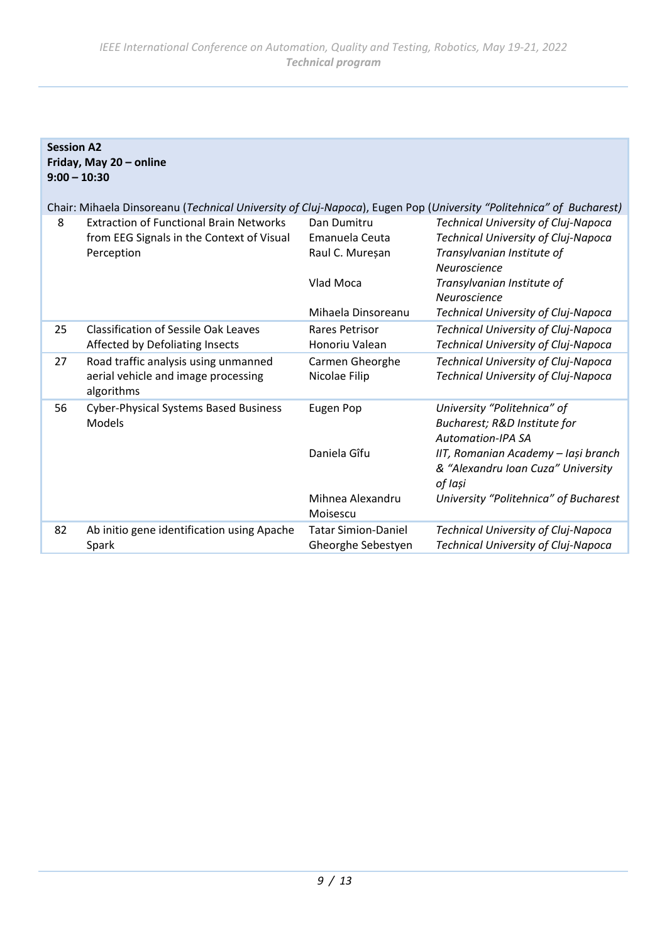**Session A2**

|    | Friday, May 20 - online<br>$9:00 - 10:30$                                                                          |                                                  |                                                                                                                                 |  |
|----|--------------------------------------------------------------------------------------------------------------------|--------------------------------------------------|---------------------------------------------------------------------------------------------------------------------------------|--|
|    | Chair: Mihaela Dinsoreanu (Technical University of Cluj-Napoca), Eugen Pop (University "Politehnica" of Bucharest) |                                                  |                                                                                                                                 |  |
| 8  | <b>Extraction of Functional Brain Networks</b><br>from EEG Signals in the Context of Visual<br>Perception          | Dan Dumitru<br>Emanuela Ceuta<br>Raul C. Mureșan | Technical University of Cluj-Napoca<br><b>Technical University of Cluj-Napoca</b><br>Transylvanian Institute of<br>Neuroscience |  |
|    |                                                                                                                    | Vlad Moca                                        | Transylvanian Institute of<br>Neuroscience                                                                                      |  |
|    |                                                                                                                    | Mihaela Dinsoreanu                               | Technical University of Cluj-Napoca                                                                                             |  |
| 25 | <b>Classification of Sessile Oak Leaves</b><br>Affected by Defoliating Insects                                     | Rares Petrisor<br>Honoriu Valean                 | Technical University of Cluj-Napoca<br>Technical University of Cluj-Napoca                                                      |  |
| 27 | Road traffic analysis using unmanned<br>aerial vehicle and image processing<br>algorithms                          | Carmen Gheorghe<br>Nicolae Filip                 | Technical University of Cluj-Napoca<br>Technical University of Cluj-Napoca                                                      |  |
| 56 | <b>Cyber-Physical Systems Based Business</b><br>Models                                                             | Eugen Pop                                        | University "Politehnica" of<br>Bucharest; R&D Institute for<br><b>Automation-IPA SA</b>                                         |  |
|    |                                                                                                                    | Daniela Gîfu                                     | IIT, Romanian Academy - Iași branch<br>& "Alexandru Ioan Cuza" University<br>of Iași                                            |  |
|    |                                                                                                                    | Mihnea Alexandru<br>Moisescu                     | University "Politehnica" of Bucharest                                                                                           |  |
| 82 | Ab initio gene identification using Apache<br>Spark                                                                | <b>Tatar Simion-Daniel</b><br>Gheorghe Sebestyen | Technical University of Cluj-Napoca<br>Technical University of Cluj-Napoca                                                      |  |

# *9 / 13*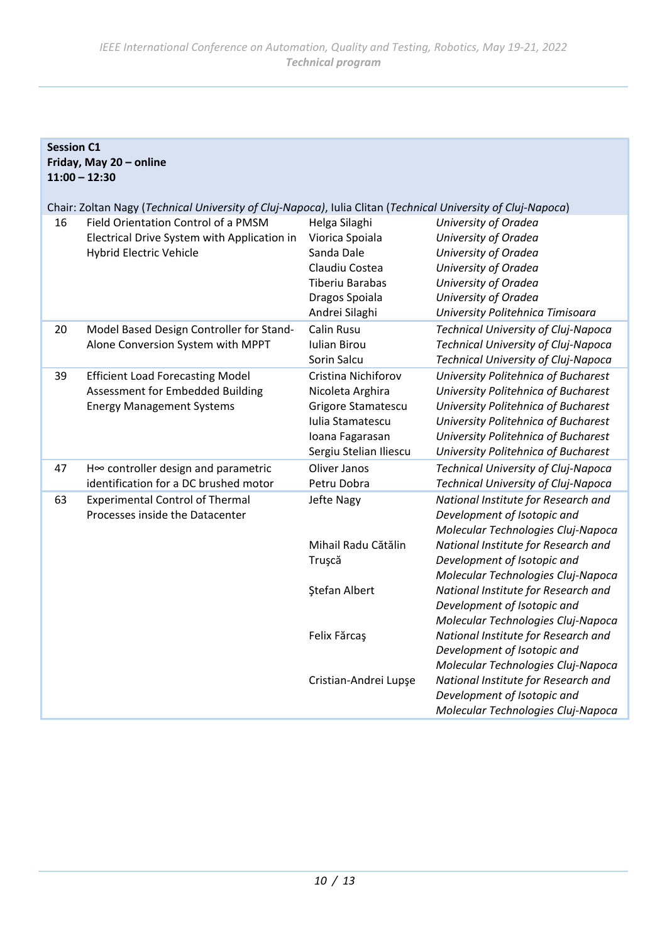| <b>Session C1</b>       |  |  |
|-------------------------|--|--|
| Friday, May 20 - online |  |  |
| $11:00 - 12:30$         |  |  |

Chair: Zoltan Nagy (*Technical University of Cluj-Napoca)*, Iulia Clitan (*Technical University of Cluj-Napoca*)

| 16 | Field Orientation Control of a PMSM<br>Electrical Drive System with Application in<br>Hybrid Electric Vehicle   | Helga Silaghi<br>Viorica Spoiala<br>Sanda Dale<br>Claudiu Costea<br><b>Tiberiu Barabas</b><br>Dragos Spoiala<br>Andrei Silaghi | University of Oradea<br>University of Oradea<br>University of Oradea<br>University of Oradea<br>University of Oradea<br>University of Oradea<br>University Politehnica Timisoara                                                       |
|----|-----------------------------------------------------------------------------------------------------------------|--------------------------------------------------------------------------------------------------------------------------------|----------------------------------------------------------------------------------------------------------------------------------------------------------------------------------------------------------------------------------------|
| 20 | Model Based Design Controller for Stand-<br>Alone Conversion System with MPPT                                   | Calin Rusu<br><b>Iulian Birou</b><br>Sorin Salcu                                                                               | <b>Technical University of Cluj-Napoca</b><br>Technical University of Cluj-Napoca<br>Technical University of Cluj-Napoca                                                                                                               |
| 39 | <b>Efficient Load Forecasting Model</b><br>Assessment for Embedded Building<br><b>Energy Management Systems</b> | Cristina Nichiforov<br>Nicoleta Arghira<br>Grigore Stamatescu<br>Iulia Stamatescu<br>Ioana Fagarasan<br>Sergiu Stelian Iliescu | University Politehnica of Bucharest<br>University Politehnica of Bucharest<br>University Politehnica of Bucharest<br>University Politehnica of Bucharest<br>University Politehnica of Bucharest<br>University Politehnica of Bucharest |
| 47 | H∞ controller design and parametric<br>identification for a DC brushed motor                                    | Oliver Janos<br>Petru Dobra                                                                                                    | Technical University of Cluj-Napoca<br>Technical University of Cluj-Napoca                                                                                                                                                             |
| 63 | <b>Experimental Control of Thermal</b><br>Processes inside the Datacenter                                       | Jefte Nagy<br>Mihail Radu Cătălin                                                                                              | National Institute for Research and<br>Development of Isotopic and<br>Molecular Technologies Cluj-Napoca<br>National Institute for Research and                                                                                        |
|    |                                                                                                                 | Truşcă<br><b>Ştefan Albert</b>                                                                                                 | Development of Isotopic and<br>Molecular Technologies Cluj-Napoca<br>National Institute for Research and<br>Development of Isotopic and<br>Molecular Technologies Cluj-Napoca                                                          |
|    |                                                                                                                 | Felix Fărcaş                                                                                                                   | National Institute for Research and<br>Development of Isotopic and<br>Molecular Technologies Cluj-Napoca                                                                                                                               |
|    |                                                                                                                 | Cristian-Andrei Lupşe                                                                                                          | National Institute for Research and<br>Development of Isotopic and<br>Molecular Technologies Cluj-Napoca                                                                                                                               |
|    |                                                                                                                 |                                                                                                                                |                                                                                                                                                                                                                                        |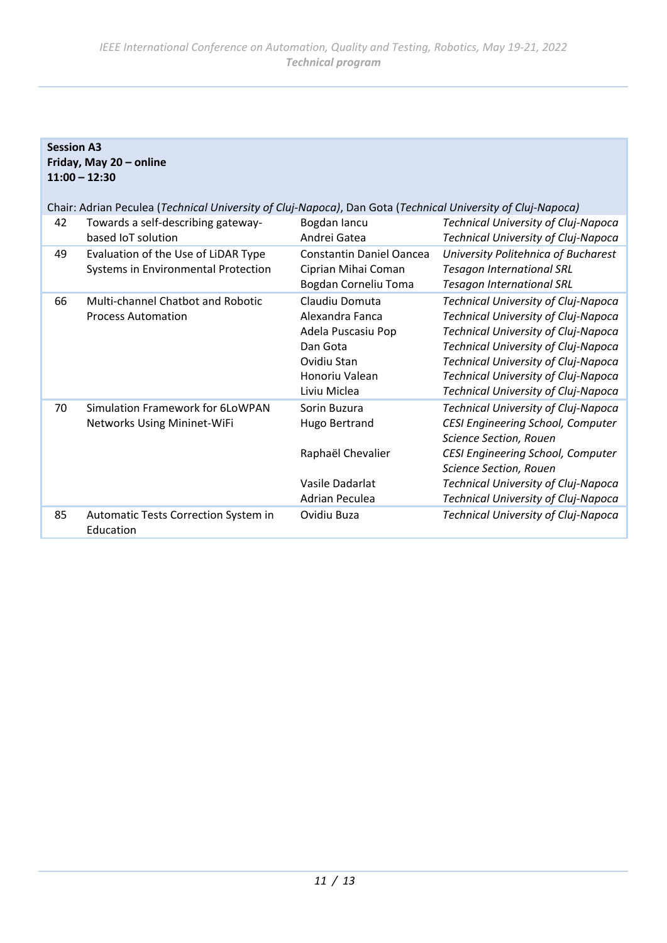|    | <b>Session A3</b>                                                                                           |                                                                                                                      |                                                                                                                                                                                                                                                                               |  |
|----|-------------------------------------------------------------------------------------------------------------|----------------------------------------------------------------------------------------------------------------------|-------------------------------------------------------------------------------------------------------------------------------------------------------------------------------------------------------------------------------------------------------------------------------|--|
|    | Friday, May 20 - online                                                                                     |                                                                                                                      |                                                                                                                                                                                                                                                                               |  |
|    | $11:00 - 12:30$                                                                                             |                                                                                                                      |                                                                                                                                                                                                                                                                               |  |
|    | Chair: Adrian Peculea (Technical University of Cluj-Napoca), Dan Gota (Technical University of Cluj-Napoca) |                                                                                                                      |                                                                                                                                                                                                                                                                               |  |
| 42 | Towards a self-describing gateway-<br>based IoT solution                                                    | Bogdan lancu<br>Andrei Gatea                                                                                         | Technical University of Cluj-Napoca<br>Technical University of Cluj-Napoca                                                                                                                                                                                                    |  |
| 49 | Evaluation of the Use of LiDAR Type<br>Systems in Environmental Protection                                  | <b>Constantin Daniel Oancea</b><br>Ciprian Mihai Coman<br>Bogdan Corneliu Toma                                       | University Politehnica of Bucharest<br><b>Tesagon International SRL</b><br><b>Tesagon International SRL</b>                                                                                                                                                                   |  |
| 66 | Multi-channel Chatbot and Robotic<br><b>Process Automation</b>                                              | Claudiu Domuta<br>Alexandra Fanca<br>Adela Puscasiu Pop<br>Dan Gota<br>Ovidiu Stan<br>Honoriu Valean<br>Liviu Miclea | Technical University of Cluj-Napoca<br>Technical University of Cluj-Napoca<br>Technical University of Cluj-Napoca<br>Technical University of Cluj-Napoca<br>Technical University of Cluj-Napoca<br>Technical University of Cluj-Napoca<br>Technical University of Cluj-Napoca |  |
| 70 | Simulation Framework for 6LoWPAN<br>Networks Using Mininet-WiFi                                             | Sorin Buzura<br><b>Hugo Bertrand</b><br>Raphaël Chevalier<br>Vasile Dadarlat<br>Adrian Peculea                       | Technical University of Cluj-Napoca<br>CESI Engineering School, Computer<br><b>Science Section, Rouen</b><br>CESI Engineering School, Computer<br>Science Section, Rouen<br>Technical University of Cluj-Napoca<br>Technical University of Cluj-Napoca                        |  |
| 85 | Automatic Tests Correction System in<br>Education                                                           | Ovidiu Buza                                                                                                          | Technical University of Cluj-Napoca                                                                                                                                                                                                                                           |  |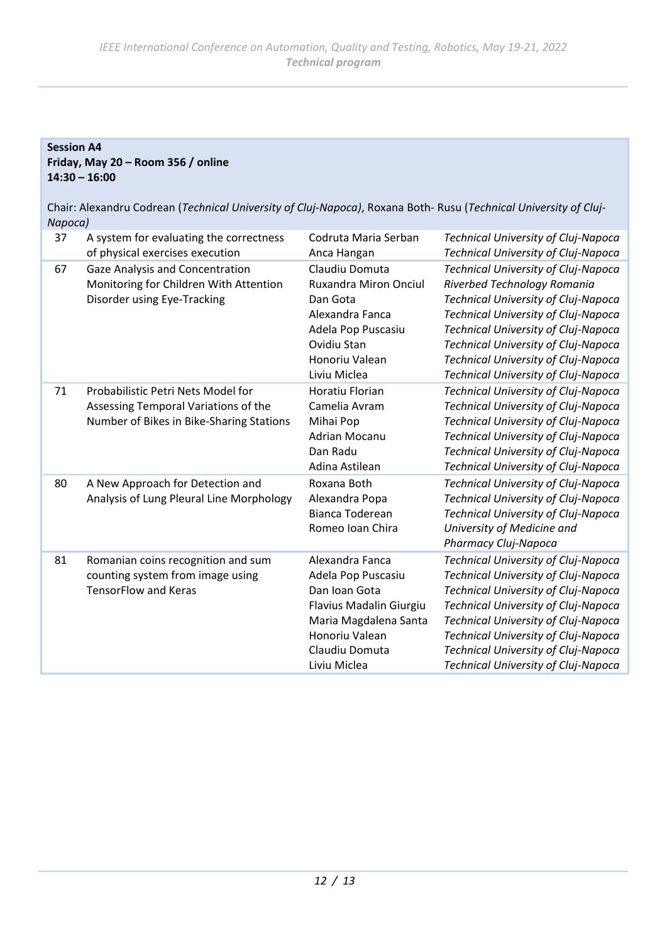# **Session A4 Friday, May 20 – Room 356 / online 14:30 – 16:00**

Chair: Alexandru Codrean (*Technical University of Cluj-Napoca)*, Roxana Both- Rusu (*Technical University of Cluj-Napoca)*

| 37 | A system for evaluating the correctness<br>of physical exercises execution                                             | Codruta Maria Serban<br>Anca Hangan                                                                                                                            | Technical University of Cluj-Napoca<br>Technical University of Cluj-Napoca                                                                                                                                                                                                                                           |
|----|------------------------------------------------------------------------------------------------------------------------|----------------------------------------------------------------------------------------------------------------------------------------------------------------|----------------------------------------------------------------------------------------------------------------------------------------------------------------------------------------------------------------------------------------------------------------------------------------------------------------------|
| 67 | Gaze Analysis and Concentration<br>Monitoring for Children With Attention<br>Disorder using Eye-Tracking               | Claudiu Domuta<br>Ruxandra Miron Onciul<br>Dan Gota<br>Alexandra Fanca<br>Adela Pop Puscasiu<br>Ovidiu Stan<br>Honoriu Valean<br>Liviu Miclea                  | <b>Technical University of Cluj-Napoca</b><br>Riverbed Technology Romania<br>Technical University of Cluj-Napoca<br>Technical University of Cluj-Napoca<br>Technical University of Cluj-Napoca<br>Technical University of Cluj-Napoca<br>Technical University of Cluj-Napoca<br>Technical University of Cluj-Napoca  |
| 71 | Probabilistic Petri Nets Model for<br>Assessing Temporal Variations of the<br>Number of Bikes in Bike-Sharing Stations | Horatiu Florian<br>Camelia Avram<br>Mihai Pop<br><b>Adrian Mocanu</b><br>Dan Radu<br>Adina Astilean                                                            | Technical University of Cluj-Napoca<br><b>Technical University of Cluj-Napoca</b><br>Technical University of Cluj-Napoca<br>Technical University of Cluj-Napoca<br>Technical University of Cluj-Napoca<br>Technical University of Cluj-Napoca                                                                        |
| 80 | A New Approach for Detection and<br>Analysis of Lung Pleural Line Morphology                                           | Roxana Both<br>Alexandra Popa<br>Bianca Toderean<br>Romeo Ioan Chira                                                                                           | <b>Technical University of Cluj-Napoca</b><br>Technical University of Cluj-Napoca<br>Technical University of Cluj-Napoca<br>University of Medicine and<br>Pharmacy Cluj-Napoca                                                                                                                                       |
| 81 | Romanian coins recognition and sum<br>counting system from image using<br><b>TensorFlow and Keras</b>                  | Alexandra Fanca<br>Adela Pop Puscasiu<br>Dan Ioan Gota<br>Flavius Madalin Giurgiu<br>Maria Magdalena Santa<br>Honoriu Valean<br>Claudiu Domuta<br>Liviu Miclea | Technical University of Cluj-Napoca<br>Technical University of Cluj-Napoca<br>Technical University of Cluj-Napoca<br>Technical University of Cluj-Napoca<br>Technical University of Cluj-Napoca<br>Technical University of Cluj-Napoca<br>Technical University of Cluj-Napoca<br>Technical University of Cluj-Napoca |